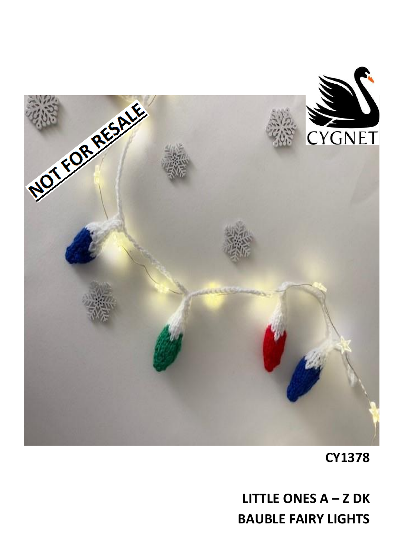

**CY1378** 

**LITTLE ONES**  $A - Z$  **DK BAUBLE FAIRY LIGHTS**